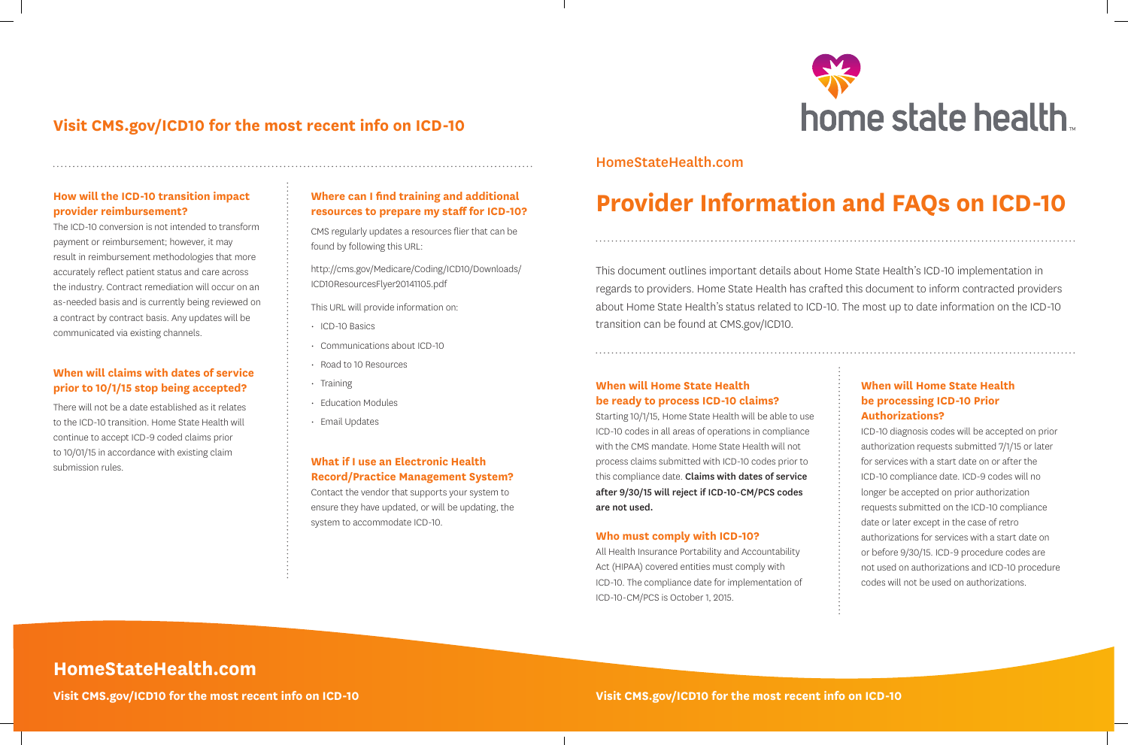This document outlines important details about Home State Health's ICD-10 implementation in regards to providers. Home State Health has crafted this document to inform contracted providers about Home State Health's status related to ICD-10. The most up to date information on the ICD-10 transition can be found at CMS.gov/ICD10.

# **Provider Information and FAQs on ICD-10**

#### **When will Home State Health be ready to process ICD-10 claims?**

Starting 10/1/15, Home State Health will be able to use ICD-10 codes in all areas of operations in compliance with the CMS mandate. Home State Health will not process claims submitted with ICD-10 codes prior to this compliance date. Claims with dates of service after 9/30/15 will reject if ICD-10-CM/PCS codes are not used. **Who must comply with ICD-10?** All Health Insurance Portability and Accountability Act (HIPAA) covered entities must comply with

ICD-10. The compliance date for implementation of ICD-10-CM/PCS is October 1, 2015.

#### **When will Home State Health be processing ICD-10 Prior Authorizations?**

ICD-10 diagnosis codes will be accepted on prior authorization requests submitted 7/1/15 or later for services with a start date on or after the ICD-10 compliance date. ICD-9 codes will no longer be accepted on prior authorization requests submitted on the ICD-10 compliance date or later except in the case of retro authorizations for services with a start date on or before 9/30/15. ICD-9 procedure codes are not used on authorizations and ICD-10 procedure codes will not be used on authorizations.

**Visit CMS.gov/ICD10 for the most recent info on ICD-10 Visit CMS.gov/ICD10 for the most recent info on ICD-10**



#### **Where can I find training and additional resources to prepare my staff for ICD-10?**

CMS regularly updates a resources flier that can be found by following this URL:

http://cms.gov/Medicare/Coding/ICD10/Downloads/ ICD10ResourcesFlyer20141105.pdf

This URL will provide information on:

- ICD-10 Basics
- Communications about ICD-10
- Road to 10 Resources
- Training
- Education Modules
- Email Updates

#### **How will the ICD-10 transition impact provider reimbursement?**

The ICD-10 conversion is not intended to transform payment or reimbursement; however, it may result in reimbursement methodologies that more accurately reflect patient status and care across the industry. Contract remediation will occur on an as-needed basis and is currently being reviewed on a contract by contract basis. Any updates will be communicated via existing channels.

#### **What if I use an Electronic Health Record/Practice Management System?**

Contact the vendor that supports your system to ensure they have updated, or will be updating, the system to accommodate ICD-10.

#### **When will claims with dates of service prior to 10/1/15 stop being accepted?**

There will not be a date established as it relates to the ICD-10 transition. Home State Health will continue to accept ICD-9 coded claims prior to 10/01/15 in accordance with existing claim submission rules.

## **Visit CMS.gov/ICD10 for the most recent info on ICD-10**

### HomeStateHealth.com

# **HomeStateHealth.com**